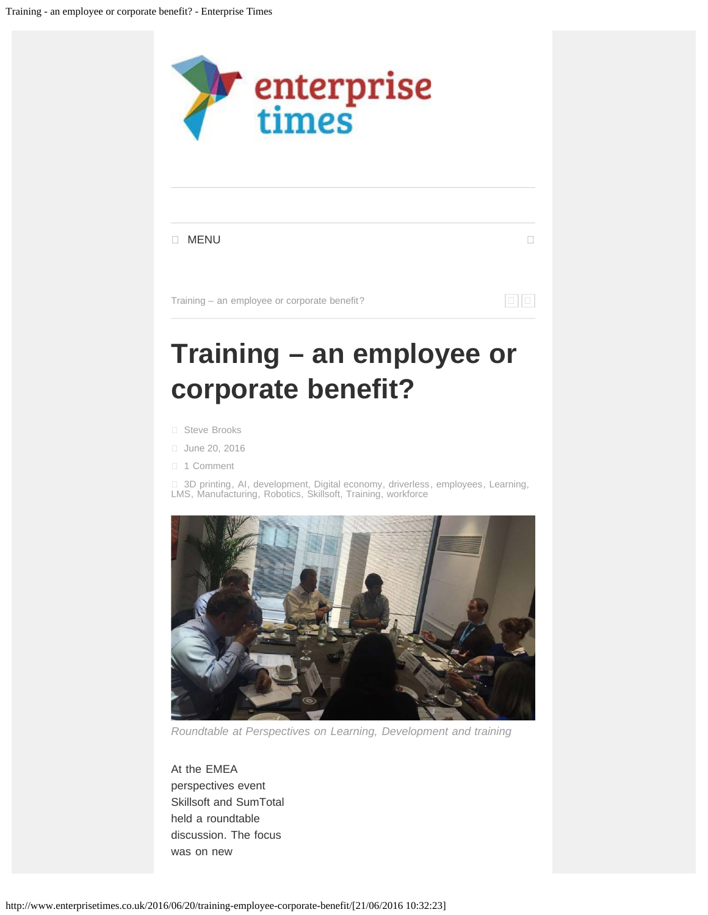<span id="page-0-0"></span>

*Roundtable at Perspectives on Learning, Development and training*

At the EMEA perspectives event Skillsoft and SumTotal held a roundtable discussion. The focus was on new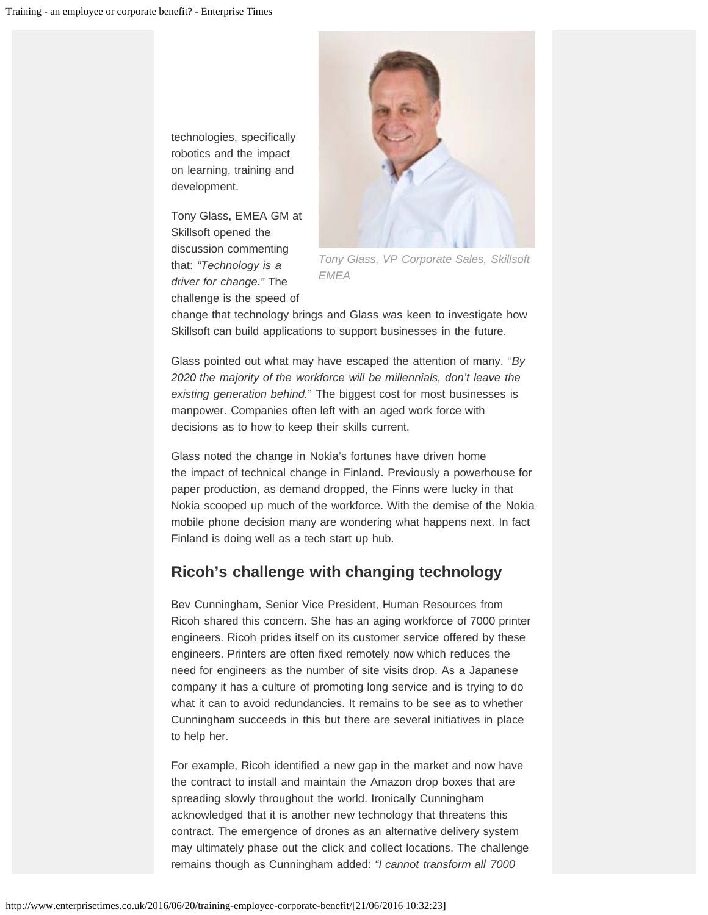technologies, specifically robotics and the impact on learning, training and development.

Tony Glass, EMEA GM at Skillsoft opened the discussion commenting that: *"Technology is a driver for change."* The challenge is the speed of



*Tony Glass, VP Corporate Sales, Skillsoft EMEA*

change that technology brings and Glass was keen to investigate how Skillsoft can build applications to support businesses in the future.

Glass pointed out what may have escaped the attention of many. "*By 2020 the majority of the workforce will be millennials, don't leave the existing generation behind.*" The biggest cost for most businesses is manpower. Companies often left with an aged work force with decisions as to how to keep their skills current.

Glass noted the change in Nokia's fortunes have driven home the impact of technical change in Finland. Previously a powerhouse for paper production, as demand dropped, the Finns were lucky in that Nokia scooped up much of the workforce. With the demise of the Nokia mobile phone decision many are wondering what happens next. In fact Finland is doing well as a tech start up hub.

## **Ricoh's challenge with changing technology**

Bev Cunningham, Senior Vice President, Human Resources from Ricoh shared this concern. She has an aging workforce of 7000 printer engineers. Ricoh prides itself on its customer service offered by these engineers. Printers are often fixed remotely now which reduces the need for engineers as the number of site visits drop. As a Japanese company it has a culture of promoting long service and is trying to do what it can to avoid redundancies. It remains to be see as to whether Cunningham succeeds in this but there are several initiatives in place to help her.

For example, Ricoh identified a new gap in the market and now have the contract to install and maintain the Amazon drop boxes that are spreading slowly throughout the world. Ironically Cunningham acknowledged that it is another new technology that threatens this contract. The emergence of drones as an alternative delivery system may ultimately phase out the click and collect locations. The challenge remains though as Cunningham added: *"I cannot transform all 7000*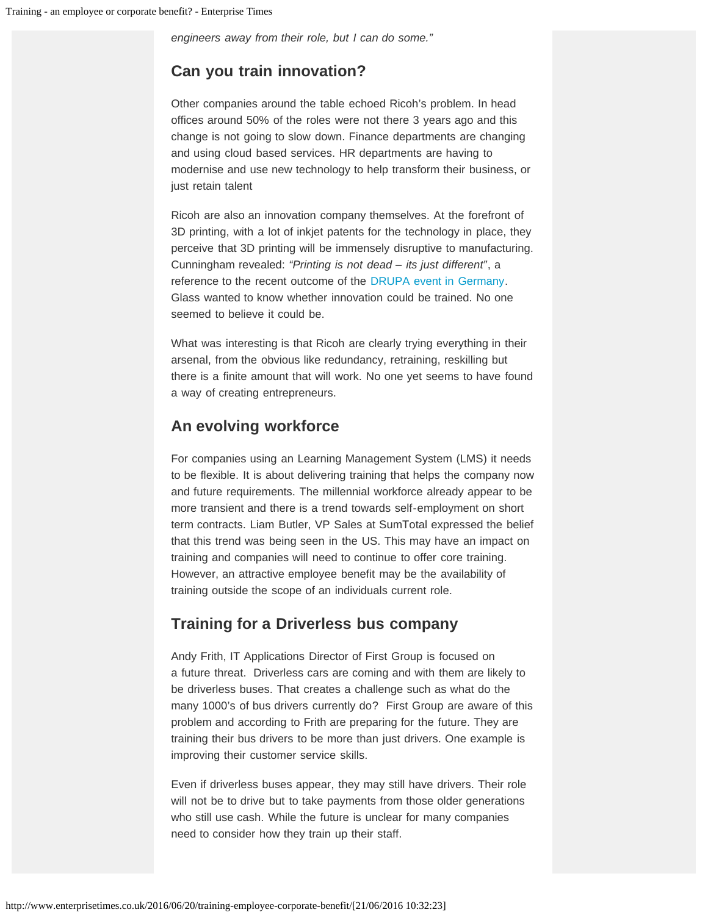*engineers away from their role, but I can do some."*

### **Can you train innovation?**

Other companies around the table echoed Ricoh's problem. In head offices around 50% of the roles were not there 3 years ago and this change is not going to slow down. Finance departments are changing and using cloud based services. HR departments are having to modernise and use new technology to help transform their business, or just retain talent

Ricoh are also an innovation company themselves. At the forefront of 3D printing, with a lot of inkjet patents for the technology in place, they perceive that 3D printing will be immensely disruptive to manufacturing. Cunningham revealed: *"Printing is not dead – its just different"*, a reference to the recent outcome of the [DRUPA event in Germany.](http://www.drupa.com/) Glass wanted to know whether innovation could be trained. No one seemed to believe it could be.

What was interesting is that Ricoh are clearly trying everything in their arsenal, from the obvious like redundancy, retraining, reskilling but there is a finite amount that will work. No one yet seems to have found a way of creating entrepreneurs.

### **An evolving workforce**

For companies using an Learning Management System (LMS) it needs to be flexible. It is about delivering training that helps the company now and future requirements. The millennial workforce already appear to be more transient and there is a trend towards self-employment on short term contracts. Liam Butler, VP Sales at SumTotal expressed the belief that this trend was being seen in the US. This may have an impact on training and companies will need to continue to offer core training. However, an attractive employee benefit may be the availability of training outside the scope of an individuals current role.

### **Training for a Driverless bus company**

Andy Frith, IT Applications Director of First Group is focused on a future threat. Driverless cars are coming and with them are likely to be driverless buses. That creates a challenge such as what do the many 1000's of bus drivers currently do? First Group are aware of this problem and according to Frith are preparing for the future. They are training their bus drivers to be more than just drivers. One example is improving their customer service skills.

Even if driverless buses appear, they may still have drivers. Their role will not be to drive but to take payments from those older generations who still use cash. While the future is unclear for many companies need to consider how they train up their staff.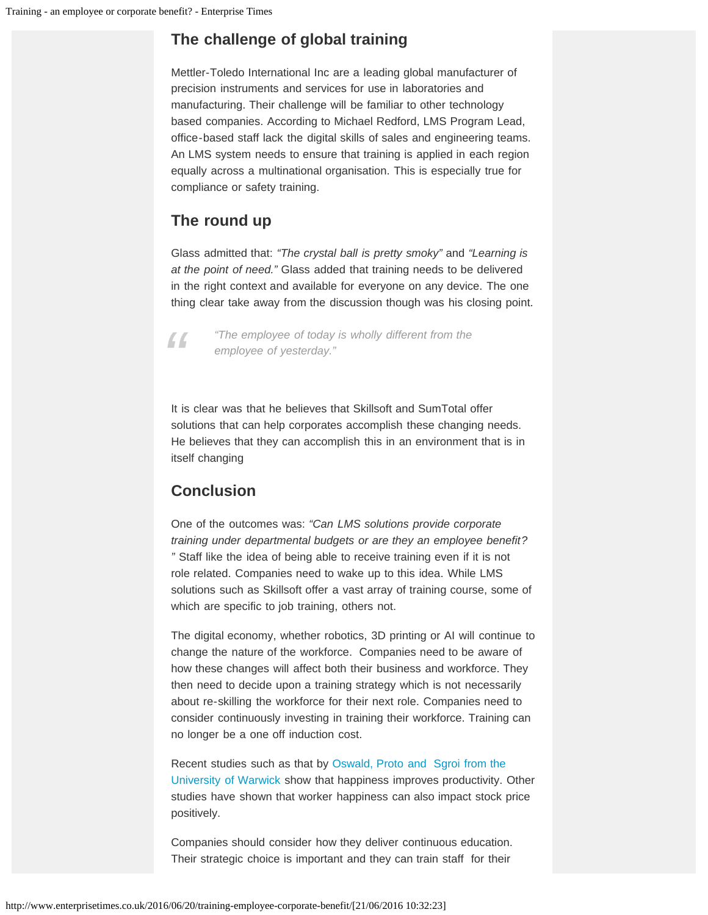# **The challenge of global training**

Mettler-Toledo International Inc are a leading global manufacturer of precision instruments and services for use in laboratories and manufacturing. Their challenge will be familiar to other technology based companies. According to Michael Redford, LMS Program Lead, office-based staff lack the digital skills of sales and engineering teams. An LMS system needs to ensure that training is applied in each region equally across a multinational organisation. This is especially true for compliance or safety training.

# **The round up**

Glass admitted that: *"The crystal ball is pretty smoky"* and *"Learning is at the point of need."* Glass added that training needs to be delivered in the right context and available for everyone on any device. The one thing clear take away from the discussion though was his closing point.



*"The employee of today is wholly different from the employee of yesterday."*

It is clear was that he believes that Skillsoft and SumTotal offer solutions that can help corporates accomplish these changing needs. He believes that they can accomplish this in an environment that is in itself changing

# **Conclusion**

One of the outcomes was: *"Can LMS solutions provide corporate training under departmental budgets or are they an employee benefit? "* Staff like the idea of being able to receive training even if it is not role related. Companies need to wake up to this idea. While LMS solutions such as Skillsoft offer a vast array of training course, some of which are specific to job training, others not.

The digital economy, whether robotics, 3D printing or AI will continue to change the nature of the workforce. Companies need to be aware of how these changes will affect both their business and workforce. They then need to decide upon a training strategy which is not necessarily about re-skilling the workforce for their next role. Companies need to consider continuously investing in training their workforce. Training can no longer be a one off induction cost.

Recent studies such as that by [Oswald, Proto and Sgroi from the](#page-0-0) [University of Warwick](#page-0-0) show that happiness improves productivity. Other studies have shown that worker happiness can also impact stock price positively.

Companies should consider how they deliver continuous education. Their strategic choice is important and they can train staff for their